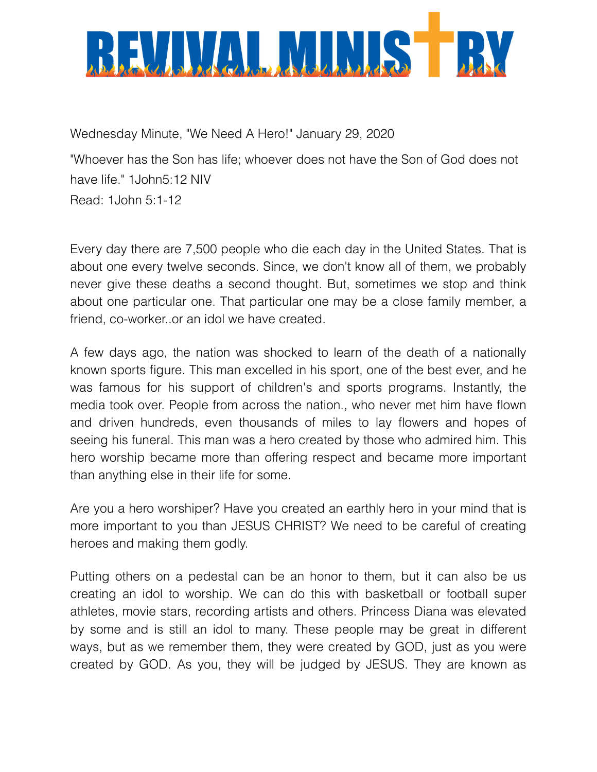

Wednesday Minute, "We Need A Hero!" January 29, 2020 "Whoever has the Son has life; whoever does not have the Son of God does not have life." 1John5:12 NIV Read: 1John 5:1-12

Every day there are 7,500 people who die each day in the United States. That is about one every twelve seconds. Since, we don't know all of them, we probably never give these deaths a second thought. But, sometimes we stop and think about one particular one. That particular one may be a close family member, a friend, co-worker..or an idol we have created.

A few days ago, the nation was shocked to learn of the death of a nationally known sports figure. This man excelled in his sport, one of the best ever, and he was famous for his support of children's and sports programs. Instantly, the media took over. People from across the nation., who never met him have flown and driven hundreds, even thousands of miles to lay flowers and hopes of seeing his funeral. This man was a hero created by those who admired him. This hero worship became more than offering respect and became more important than anything else in their life for some.

Are you a hero worshiper? Have you created an earthly hero in your mind that is more important to you than JESUS CHRIST? We need to be careful of creating heroes and making them godly.

Putting others on a pedestal can be an honor to them, but it can also be us creating an idol to worship. We can do this with basketball or football super athletes, movie stars, recording artists and others. Princess Diana was elevated by some and is still an idol to many. These people may be great in different ways, but as we remember them, they were created by GOD, just as you were created by GOD. As you, they will be judged by JESUS. They are known as